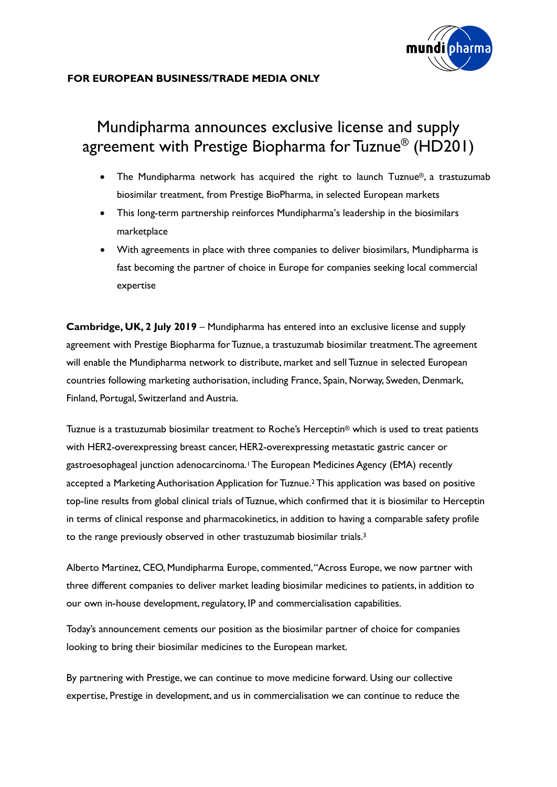

# Mundipharma announces exclusive license and supply agreement with Prestige Biopharma for Tuznue® (HD201)

- The Mundipharma network has acquired the right to launch Tuznue<sup>®</sup>, a trastuzumab biosimilar treatment, from Prestige BioPharma, in selected European markets
- This long-term partnership reinforces Mundipharma's leadership in the biosimilars marketplace
- With agreements in place with three companies to deliver biosimilars, Mundipharma is fast becoming the partner of choice in Europe for companies seeking local commercial expertise

**Cambridge, UK, 2 July 2019** – Mundipharma has entered into an exclusive license and supply agreement with Prestige Biopharma for Tuznue, a trastuzumab biosimilar treatment.The agreement will enable the Mundipharma network to distribute, market and sell Tuznue in selected European countries following marketing authorisation, including France, Spain, Norway, Sweden, Denmark, Finland, Portugal, Switzerland and Austria.

Tuznue is a trastuzumab biosimilar treatment to Roche's Herceptin® which is used to treat patients with HER2-overexpressing breast cancer, HER2-overexpressing metastatic gastric cancer or gastroesophageal junction adenocarcinoma.1The European Medicines Agency (EMA) recently accepted a Marketing Authorisation Application for Tuznue. <sup>2</sup> This application was based on positive top-line results from global clinical trials of Tuznue, which confirmed that it is biosimilar to Herceptin in terms of clinical response and pharmacokinetics, in addition to having a comparable safety profile to the range previously observed in other trastuzumab biosimilar trials.3

Alberto Martinez, CEO, Mundipharma Europe, commented, "Across Europe, we now partner with three different companies to deliver market leading biosimilar medicines to patients, in addition to our own in-house development, regulatory, IP and commercialisation capabilities.

Today's announcement cements our position as the biosimilar partner of choice for companies looking to bring their biosimilar medicines to the European market.

By partnering with Prestige, we can continue to move medicine forward. Using our collective expertise, Prestige in development, and us in commercialisation we can continue to reduce the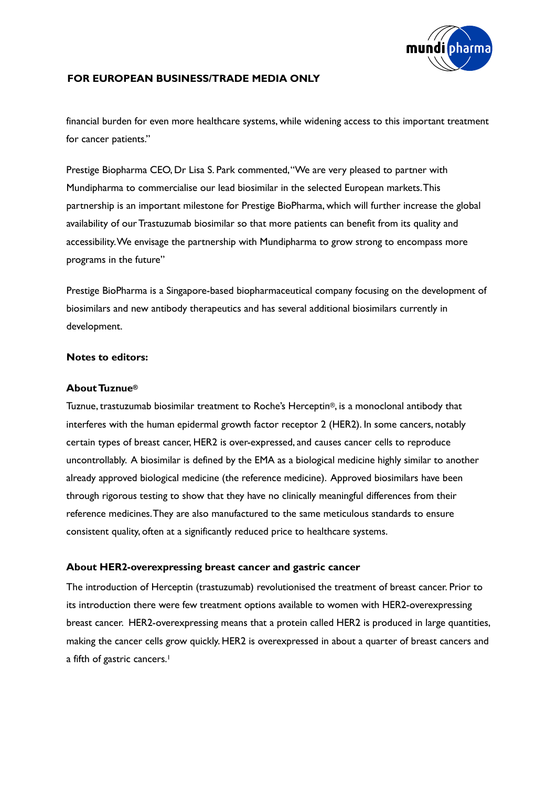

financial burden for even more healthcare systems, while widening access to this important treatment for cancer patients."

Prestige Biopharma CEO, Dr Lisa S. Park commented, "We are very pleased to partner with Mundipharma to commercialise our lead biosimilar in the selected European markets. This partnership is an important milestone for Prestige BioPharma, which will further increase the global availability of our Trastuzumab biosimilar so that more patients can benefit from its quality and accessibility.We envisage the partnership with Mundipharma to grow strong to encompass more programs in the future"

Prestige BioPharma is a Singapore-based biopharmaceutical company focusing on the development of biosimilars and new antibody therapeutics and has several additional biosimilars currently in development.

#### **Notes to editors:**

#### **About Tuznue®**

Tuznue, trastuzumab biosimilar treatment to Roche's Herceptin®, is a monoclonal antibody that interferes with the human epidermal growth factor receptor 2 (HER2). In some cancers, notably certain types of breast cancer, HER2 is over-expressed, and causes cancer cells to reproduce uncontrollably. A biosimilar is defined by the EMA as a biological medicine highly similar to another already approved biological medicine (the reference medicine). Approved biosimilars have been through rigorous testing to show that they have no clinically meaningful differences from their reference medicines. They are also manufactured to the same meticulous standards to ensure consistent quality, often at a significantly reduced price to healthcare systems.

#### **About HER2-overexpressing breast cancer and gastric cancer**

The introduction of Herceptin (trastuzumab) revolutionised the treatment of breast cancer. Prior to its introduction there were few treatment options available to women with HER2-overexpressing breast cancer. HER2-overexpressing means that a protein called HER2 is produced in large quantities, making the cancer cells grow quickly. HER2 is overexpressed in about a quarter of breast cancers and a fifth of gastric cancers. 1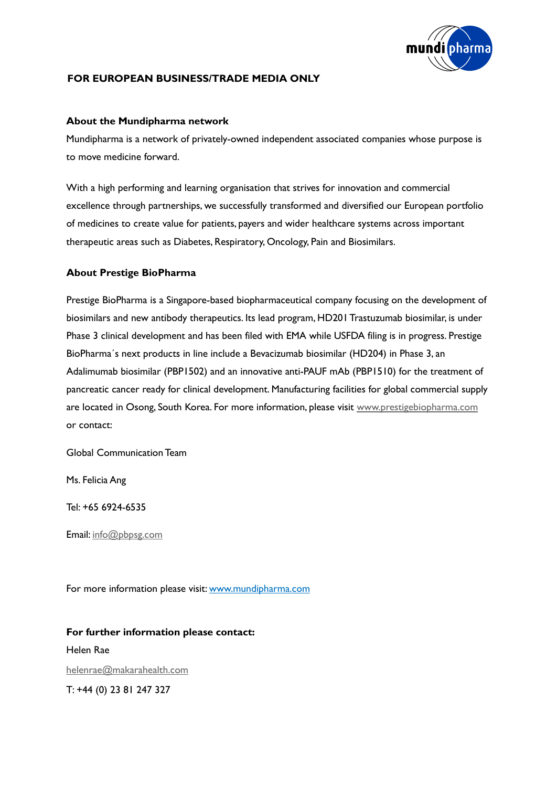

#### **About the Mundipharma network**

Mundipharma is a network of privately-owned independent associated companies whose purpose is to move medicine forward.

With a high performing and learning organisation that strives for innovation and commercial excellence through partnerships, we successfully transformed and diversified our European portfolio of medicines to create value for patients, payers and wider healthcare systems across important therapeutic areas such as Diabetes, Respiratory, Oncology, Pain and Biosimilars.

#### **About Prestige BioPharma**

Prestige BioPharma is a Singapore-based biopharmaceutical company focusing on the development of biosimilars and new antibody therapeutics. Its lead program, HD201 Trastuzumab biosimilar, is under Phase 3 clinical development and has been filed with EMA while USFDA filing is in progress. Prestige BioPharma´s next products in line include a Bevacizumab biosimilar (HD204) in Phase 3, an Adalimumab biosimilar (PBP1502) and an innovative anti-PAUF mAb (PBP1510) for the treatment of pancreatic cancer ready for clinical development. Manufacturing facilities for global commercial supply are located in Osong, South Korea. For more information, please visit [www.prestigebiopharma.com](http://www.prestigebiopharma.com/) or contact:

Global Communication Team

Ms. Felicia Ang

Tel: +65 6924-6535

Email: [info@pbpsg.com](mailto:info@pbpsg.com)

For more information please visit[: www.mundipharma.com](http://www.mundipharma.com/)

#### **For further information please contact:**

Helen Rae [helenrae@makarahealth.com](mailto:helenrae@makarahealth.com) T: +44 (0) 23 81 247 327